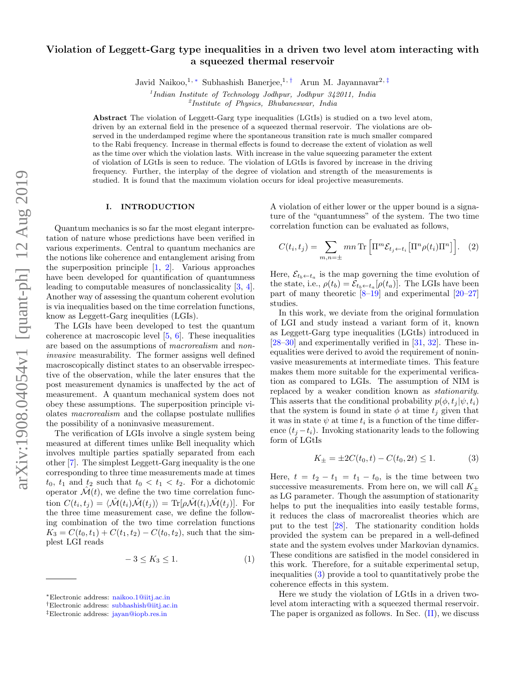# Violation of Leggett-Garg type inequalities in a driven two level atom interacting with a squeezed thermal reservoir

Javid Naikoo,<sup>1, \*</sup> Subhashish Banerjee,<sup>1,†</sup> Arun M. Jayannavar<sup>2,‡</sup>

1 *Indian Institute of Technology Jodhpur, Jodhpur 342011, India* 2 *Institute of Physics, Bhubaneswar, India*

Abstract The violation of Leggett-Garg type inequalities (LGtIs) is studied on a two level atom, driven by an external field in the presence of a squeezed thermal reservoir. The violations are observed in the underdamped regime where the spontaneous transition rate is much smaller compared to the Rabi frequency. Increase in thermal effects is found to decrease the extent of violation as well as the time over which the violation lasts. With increase in the value squeezing parameter the extent of violation of LGtIs is seen to reduce. The violation of LGtIs is favored by increase in the driving frequency. Further, the interplay of the degree of violation and strength of the measurements is studied. It is found that the maximum violation occurs for ideal projective measurements.

### I. INTRODUCTION

Quantum mechanics is so far the most elegant interpretation of nature whose predictions have been verified in various experiments. Central to quantum mechanics are the notions like coherence and entanglement arising from the superposition principle [1, 2]. Various approaches have been developed for quantification of quantumness leading to computable measures of nonclassicality [3, 4]. Another way of assessing the quantum coherent evolution is via inequalities based on the time correlation functions, know as Leggett-Garg inequlities (LGIs).

The LGIs have been developed to test the quantum coherence at macroscopic level [5, 6]. These inequalities are based on the assumptions of macrorealism and noninvasive measurability. The former assigns well defined macroscopically distinct states to an observable irrespective of the observation, while the later ensures that the post measurement dynamics is unaffected by the act of measurement. A quantum mechanical system does not obey these assumptions. The superposition principle violates macrorealism and the collapse postulate nullifies the possibility of a noninvasive measurement.

The verification of LGIs involve a single system being measured at different times unlike Bell inequality which involves multiple parties spatially separated from each other [7]. The simplest Leggett-Garg inequality is the one corresponding to three time measurements made at times  $t_0$ ,  $t_1$  and  $t_2$  such that  $t_0 < t_1 < t_2$ . For a dichotomic operator  $\mathcal{M}(t)$ , we define the two time correlation function  $C(t_i, t_j) = \langle \hat{\mathcal{M}}(t_i) \hat{\mathcal{M}}(t_j) \rangle = \text{Tr}[\rho \hat{\mathcal{M}}(t_i) \hat{\mathcal{M}}(t_j)].$  For the three time measurement case, we define the following combination of the two time correlation functions  $K_3 = C(t_0, t_1) + C(t_1, t_2) - C(t_0, t_2)$ , such that the simplest LGI reads

$$
-3 \le K_3 \le 1. \tag{1}
$$

A violation of either lower or the upper bound is a signature of the "quantumness" of the system. The two time correlation function can be evaluated as follows,

$$
C(t_i, t_j) = \sum_{m,n=\pm} mn \operatorname{Tr} \left[ \Pi^m \mathcal{E}_{t_j \leftarrow t_i} \left[ \Pi^n \rho(t_i) \Pi^n \right] \right]. \tag{2}
$$

Here,  $\mathcal{E}_{t_b \leftarrow t_a}$  is the map governing the time evolution of the state, i.e.,  $\rho(t_b) = \mathcal{E}_{t_b \leftarrow t_a}[\rho(t_a)]$ . The LGIs have been part of many theoretic  $[8-19]$  and experimental  $[20-27]$ studies.

In this work, we deviate from the original formulation of LGI and study instead a variant form of it, known as Leggett-Garg type inequalities (LGtIs) introduced in [28–30] and experimentally verified in [31, 32]. These inequalities were derived to avoid the requirement of noninvasive measurements at intermediate times. This feature makes them more suitable for the experimental verification as compared to LGIs. The assumption of NIM is replaced by a weaker condition known as stationarity. This asserts that the conditional probability  $p(\phi, t_i | \psi, t_i)$ that the system is found in state  $\phi$  at time  $t_i$  given that it was in state  $\psi$  at time  $t_i$  is a function of the time difference  $(t_i - t_i)$ . Invoking stationarity leads to the following form of LGtIs

$$
K_{\pm} = \pm 2C(t_0, t) - C(t_0, 2t) \le 1.
$$
 (3)

Here,  $t = t_2 - t_1 = t_1 - t_0$ , is the time between two successive measurements. From here on, we will call  $K_{\pm}$ as LG parameter. Though the assumption of stationarity helps to put the inequalities into easily testable forms, it reduces the class of macrorealist theories which are put to the test [28]. The stationarity condition holds provided the system can be prepared in a well-defined state and the system evolves under Markovian dynamics. These conditions are satisfied in the model considered in this work. Therefore, for a suitable experimental setup, inequalities (3) provide a tool to quantitatively probe the coherence effects in this system.

Here we study the violation of LGtIs in a driven twolevel atom interacting with a squeezed thermal reservoir. The paper is organized as follows. In Sec. (II), we discuss

<sup>∗</sup>Electronic address: naikoo.1@iitj.ac.in

<sup>†</sup>Electronic address: subhashish@iitj.ac.in

<sup>‡</sup>Electronic address: jayan@iopb.res.in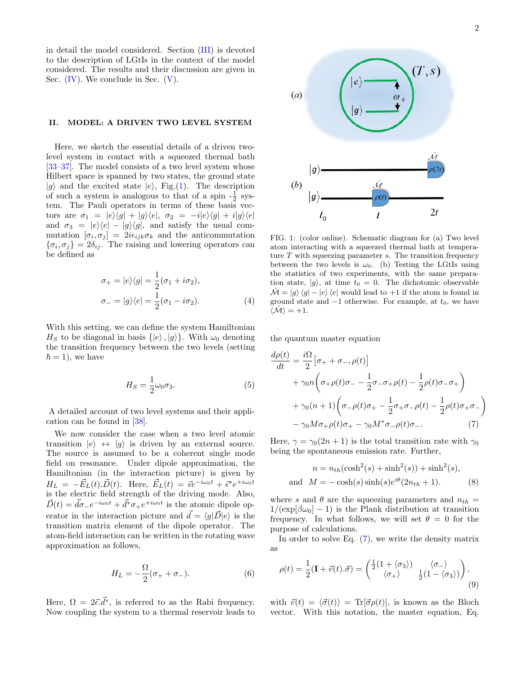in detail the model considered. Section (III) is devoted to the description of LGtIs in the context of the model considered. The results and their discussion are given in Sec.  $(IV)$ . We conclude in Sec.  $(V)$ .

## II. MODEL: A DRIVEN TWO LEVEL SYSTEM

Here, we sketch the essential details of a driven twolevel system in contact with a squeezed thermal bath [33–37]. The model consists of a two level system whose Hilbert space is spanned by two states, the ground state  $|g\rangle$  and the excited state  $|e\rangle$ , Fig.(1). The description of such a system is analogous to that of a spin  $-\frac{1}{2}$  system. The Pauli operators in terms of these basis vectors are  $\sigma_1 = |e\rangle\langle g| + |g\rangle\langle e|, \sigma_2 = -i|e\rangle\langle g| + i|g\rangle\langle e|$ and  $\sigma_3 = |e\rangle\langle e| - |g\rangle\langle g|$ , and satisfy the usual commutation  $[\sigma_i, \sigma_j] = 2i \epsilon_{ijk} \sigma_k$  and the anticommutation  $\{\sigma_i, \sigma_j\} = 2\delta_{ij}$ . The raising and lowering operators can be defined as

$$
\sigma_{+} = |e\rangle\langle g| = \frac{1}{2}(\sigma_{1} + i\sigma_{2}),
$$
  

$$
\sigma_{-} = |g\rangle\langle e| = \frac{1}{2}(\sigma_{1} - i\sigma_{2}).
$$
 (4)

With this setting, we can define the system Hamiltonian  $H<sub>S</sub>$  to be diagonal in basis  $\{|e\rangle, |g\rangle\}$ . With  $\omega_0$  denoting the transition frequency between the two levels (setting  $\hbar = 1$ , we have

$$
H_S = \frac{1}{2}\omega_0 \sigma_3. \tag{5}
$$

A detailed account of two level systems and their application can be found in [38].

We now consider the case when a two level atomic transition  $|e\rangle \leftrightarrow |g\rangle$  is driven by an external source. The source is assumed to be a coherent single mode field on resonance. Under dipole approximation, the Hamiltonian (in the interaction picture) is given by  $H_L = -\vec{E}_L(t).\vec{D}(t)$ . Here,  $\vec{E}_L(t) = \vec{\epsilon}e^{-i\omega_0 t} + \vec{\epsilon}^*e^{+i\omega_0 t}$ is the electric field strength of the driving mode. Also,  $\vec{D}(t) = \vec{d}\sigma_{-}e^{-i\omega_{0}t} + \vec{d}^{*}\sigma_{+}e^{+i\omega_{0}t}$  is the atomic dipole operator in the interaction picture and  $\vec{d} = \langle g | \vec{D} | e \rangle$  is the transition matrix element of the dipole operator. The atom-field interaction can be written in the rotating wave approximation as follows,

$$
H_L = -\frac{\Omega}{2}(\sigma_+ + \sigma_-). \tag{6}
$$

Here,  $\Omega = 2\vec{\epsilon} \cdot \vec{d}^*$ , is referred to as the Rabi frequency. Now coupling the system to a thermal reservoir leads to



FIG. 1: (color online). Schematic diagram for (a) Two level atom interacting with a squeezed thermal bath at temperature  $T$  with squeezing parameter  $s$ . The transition frequency between the two levels is  $\omega_0$ . (b) Testing the LGtIs using the statistics of two experiments, with the same preparation state,  $|g\rangle$ , at time  $t_0 = 0$ . The dichotomic observable  $\mathcal{M} = |g\rangle\langle g| - |e\rangle\langle e|$  would lead to +1 if the atom is found in ground state and  $-1$  otherwise. For example, at  $t_0$ , we have  $\langle \hat{\mathcal{M}} \rangle = +1.$ 

the quantum master equation

$$
\frac{d\rho(t)}{dt} = \frac{i\Omega}{2} \left[ \sigma_+ + \sigma_-, \rho(t) \right]
$$
  
+  $\gamma_0 n \left( \sigma_+ \rho(t) \sigma_- - \frac{1}{2} \sigma_- \sigma_+ \rho(t) - \frac{1}{2} \rho(t) \sigma_- \sigma_+ \right)$   
+  $\gamma_0 (n+1) \left( \sigma_- \rho(t) \sigma_+ - \frac{1}{2} \sigma_+ \sigma_- \rho(t) - \frac{1}{2} \rho(t) \sigma_+ \sigma_- \right)$   
-  $\gamma_0 M \sigma_+ \rho(t) \sigma_+ - \gamma_0 M^* \sigma_- \rho(t) \sigma_-.$  (7)

Here,  $\gamma = \gamma_0(2n+1)$  is the total transition rate with  $\gamma_0$ being the spontaneous emission rate. Further,

$$
n = n_{th}(\cosh^2(s) + \sinh^2(s)) + \sinh^2(s),
$$
  
and 
$$
M = -\cosh(s)\sinh(s)e^{i\theta}(2n_{th} + 1).
$$
 (8)

where s and  $\theta$  are the squeezing parameters and  $n_{th}$  =  $1/(\exp[\beta\omega_0]-1)$  is the Plank distribution at transition frequency. In what follows, we will set  $\theta = 0$  for the purpose of calculations.

In order to solve Eq. (7), we write the density matrix as

$$
\rho(t) = \frac{1}{2}(\mathbf{I} + \vec{v}(t).\vec{\sigma}) = \begin{pmatrix} \frac{1}{2}(1 + \langle \sigma_3 \rangle) & \langle \sigma_- \rangle \\ \langle \sigma_+ \rangle & \frac{1}{2}(1 - \langle \sigma_3 \rangle) \end{pmatrix},\tag{9}
$$

with  $\vec{v}(t) = \langle \vec{\sigma}(t) \rangle = \text{Tr}[\vec{\sigma} \rho(t)],$  is known as the Bloch vector. With this notation, the master equation, Eq.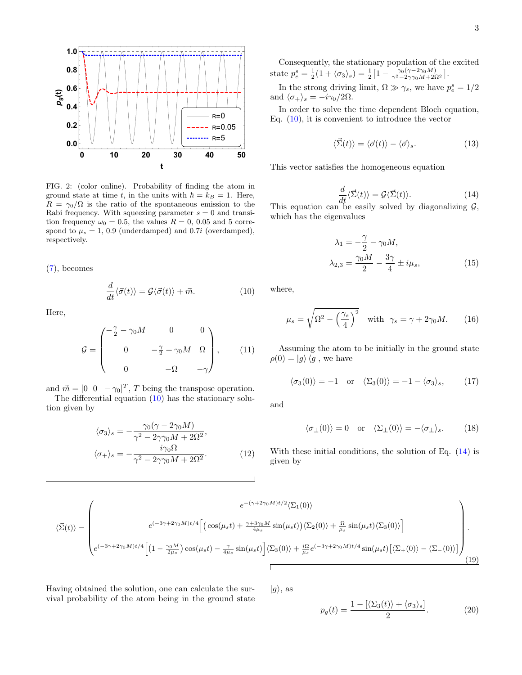

FIG. 2: (color online). Probability of finding the atom in ground state at time t, in the units with  $\hbar = k_B = 1$ . Here,  $R = \gamma_0/\Omega$  is the ratio of the spontaneous emission to the Rabi frequency. With squeezing parameter  $s = 0$  and transition frequency  $\omega_0 = 0.5$ , the values  $R = 0$ , 0.05 and 5 correspond to  $\mu_s = 1, 0.9$  (underdamped) and 0.7*i* (overdamped), respectively.

(7), becomes

$$
\frac{d}{dt}\langle \vec{\sigma}(t) \rangle = \mathcal{G}\langle \vec{\sigma}(t) \rangle + \vec{m}.\tag{10}
$$

Here,

$$
\mathcal{G} = \begin{pmatrix} -\frac{\gamma}{2} - \gamma_0 M & 0 & 0 \\ 0 & -\frac{\gamma}{2} + \gamma_0 M & \Omega \\ 0 & -\Omega & -\gamma \end{pmatrix}, \qquad (11)
$$

and  $\vec{m} = [0 \ 0 \ -\gamma_0]^T$ , T being the transpose operation. The differential equation  $(10)$  has the stationary solu-

tion given by

$$
\langle \sigma_3 \rangle_s = -\frac{\gamma_0 (\gamma - 2\gamma_0 M)}{\gamma^2 - 2\gamma \gamma_0 M + 2\Omega^2},
$$
  

$$
\langle \sigma_+ \rangle_s = -\frac{i\gamma_0 \Omega}{\gamma^2 - 2\gamma \gamma_0 M + 2\Omega^2}.
$$
 (12)

Consequently, the stationary population of the excited state  $p_e^s = \frac{1}{2}(1 + \langle \sigma_3 \rangle_s) = \frac{1}{2}\Big[1 - \frac{\gamma_0(\gamma - 2\gamma_0 M)}{\gamma^2 - 2\gamma \gamma_0 M + 2\Omega^2}\Big].$ 

In the strong driving limit,  $\Omega \gg \gamma_s$ , we have  $p_e^s = 1/2$ and  $\langle \sigma_+ \rangle_s = -i\gamma_0/2\Omega$ .

In order to solve the time dependent Bloch equation, Eq.  $(10)$ , it is convenient to introduce the vector

$$
\langle \vec{\Sigma}(t) \rangle = \langle \vec{\sigma}(t) \rangle - \langle \vec{\sigma} \rangle_s. \tag{13}
$$

This vector satisfies the homogeneous equation

$$
\frac{d}{dt}\langle \vec{\Sigma}(t)\rangle = \mathcal{G}\langle \vec{\Sigma}(t)\rangle.
$$
 (14)  
This equation can be easily solved by diagonalizing  $\mathcal{G}$ ,

which has the eigenvalues

$$
\lambda_1 = -\frac{\gamma}{2} - \gamma_0 M,
$$
  

$$
\lambda_{2,3} = \frac{\gamma_0 M}{2} - \frac{3\gamma}{4} \pm i\mu_s,
$$
 (15)

where,

$$
\mu_s = \sqrt{\Omega^2 - \left(\frac{\gamma_s}{4}\right)^2} \quad \text{with} \quad \gamma_s = \gamma + 2\gamma_0 M. \tag{16}
$$

Assuming the atom to be initially in the ground state  $\rho(0) = |g\rangle \langle g|$ , we have

$$
\langle \sigma_3(0) \rangle = -1 \quad \text{or} \quad \langle \Sigma_3(0) \rangle = -1 - \langle \sigma_3 \rangle_s, \tag{17}
$$

and

$$
\langle \sigma_{\pm}(0) \rangle = 0
$$
 or  $\langle \Sigma_{\pm}(0) \rangle = -\langle \sigma_{\pm} \rangle_s$ . (18)

With these initial conditions, the solution of Eq. (14) is given by

$$
\langle \vec{\Sigma}(t) \rangle = \begin{pmatrix} e^{-(\gamma + 2\gamma_0 M)t/2} \langle \Sigma_1(0) \rangle \\ e^{(-3\gamma + 2\gamma_0 M)t/4} \Big[ \left( \cos(\mu_s t) + \frac{\gamma + 3\gamma_0 M}{4\mu_s} \sin(\mu_s t) \right) \langle \Sigma_2(0) \rangle + \frac{\Omega}{\mu_s} \sin(\mu_s t) \langle \Sigma_3(0) \rangle \Big] \\ e^{(-3\gamma + 2\gamma_0 M)t/4} \Big[ \left( 1 - \frac{\gamma_0 M}{2\mu_s} \right) \cos(\mu_s t) - \frac{\gamma}{4\mu_s} \sin(\mu_s t) \Big] \langle \Sigma_3(0) \rangle + \frac{i\Omega}{\mu_s} e^{(-3\gamma + 2\gamma_0 M)t/4} \sin(\mu_s t) \Big[ \langle \Sigma_+(0) \rangle - \langle \Sigma_-(0) \rangle \Big] \end{pmatrix} . \tag{19}
$$

Having obtained the solution, one can calculate the survival probability of the atom being in the ground state  $|g\rangle$ , as

$$
p_g(t) = \frac{1 - [\langle \Sigma_3(t) \rangle + \langle \sigma_3 \rangle_s]}{2}.
$$
 (20)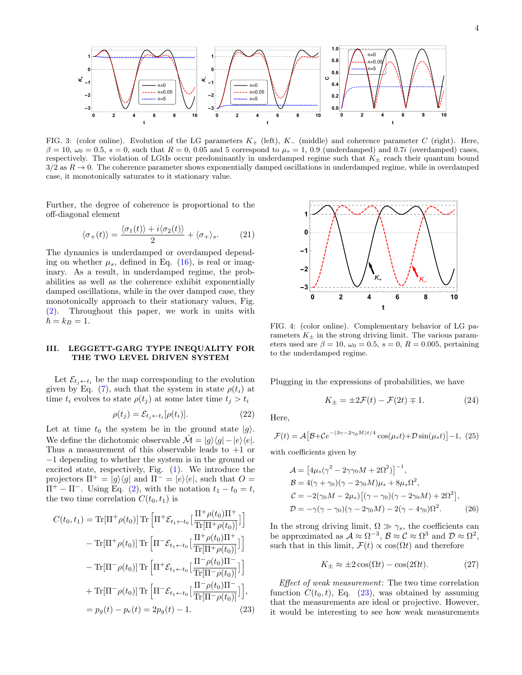

FIG. 3: (color online). Evolution of the LG parameters  $K_{+}$  (left),  $K_{-}$  (middle) and coherence parameter C (right). Here,  $\beta = 10$ ,  $\omega_0 = 0.5$ ,  $s = 0$ , such that  $R = 0$ , 0.05 and 5 correspond to  $\mu_s = 1$ , 0.9 (underdamped) and 0.7*i* (overdamped) cases, respectively. The violation of LGtIs occur predominantly in underdamped regime such that  $K_{\pm}$  reach their quantum bound  $3/2$  as  $R \to 0$ . The coherence parameter shows exponentially damped oscillations in underdamped regime, while in overdamped case, it monotonically saturates to it stationary value.

Further, the degree of coherence is proportional to the off-diagonal element

$$
\langle \sigma_+(t) \rangle = \frac{\langle \sigma_1(t) \rangle + i \langle \sigma_2(t) \rangle}{2} + \langle \sigma_+ \rangle_s. \tag{21}
$$

The dynamics is underdamped or overdamped depending on whether  $\mu_s$ , defined in Eq. (16), is real or imaginary. As a result, in underdamped regime, the probabilities as well as the coherence exhibit exponentially damped oscillations, while in the over damped case, they monotonically approach to their stationary values, Fig. (2). Throughout this paper, we work in units with  $\hbar = k_B = 1.$ 

# III. LEGGETT-GARG TYPE INEQUALITY FOR THE TWO LEVEL DRIVEN SYSTEM

Let  $\mathcal{E}_{t_i \leftarrow t_i}$  be the map corresponding to the evolution given by Eq. (7), such that the system in state  $\rho(t_i)$  at time  $t_i$  evolves to state  $\rho(t_j)$  at some later time  $t_j > t_i$ 

$$
\rho(t_j) = \mathcal{E}_{t_j \leftarrow t_i}[\rho(t_i)].\tag{22}
$$

Let at time  $t_0$  the system be in the ground state  $|g\rangle$ . We define the dichotomic observable  $\mathcal{M} = |g\rangle\langle g| - |e\rangle\langle e|$ . Thus a measurement of this observable leads to  $+1$  or −1 depending to whether the system is in the ground or excited state, respectively, Fig. (1). We introduce the projectors  $\Pi^+ = |g\rangle\langle g|$  and  $\Pi^- = |e\rangle\langle e|$ , such that  $O =$  $\Pi^+ - \Pi^-$ . Using Eq. (2), with the notation  $t_1 - t_0 = t$ , the two time correlation  $C(t_0, t_1)$  is

$$
C(t_0, t_1) = \text{Tr}[\Pi^+ \rho(t_0)] \text{Tr} \left[ \Pi^+ \mathcal{E}_{t_1 \leftarrow t_0} \left[ \frac{\Pi^+ \rho(t_0) \Pi^+}{\text{Tr}[\Pi^+ \rho(t_0)]} \right] \right] - \text{Tr}[\Pi^+ \rho(t_0)] \text{Tr} \left[ \Pi^- \mathcal{E}_{t_1 \leftarrow t_0} \left[ \frac{\Pi^+ \rho(t_0) \Pi^+}{\text{Tr}[\Pi^+ \rho(t_0)]} \right] \right] - \text{Tr}[\Pi^- \rho(t_0)] \text{Tr} \left[ \Pi^+ \mathcal{E}_{t_1 \leftarrow t_0} \left[ \frac{\Pi^- \rho(t_0) \Pi^-}{\text{Tr}[\Pi^- \rho(t_0)]} \right] \right] + \text{Tr}[\Pi^- \rho(t_0)] \text{Tr} \left[ \Pi^- \mathcal{E}_{t_1 \leftarrow t_0} \left[ \frac{\Pi^- \rho(t_0) \Pi^-}{\text{Tr}[\Pi^- \rho(t_0)]} \right] \right],
$$
  
=  $p_g(t) - p_e(t) = 2p_g(t) - 1.$  (23)



FIG. 4: (color online). Complementary behavior of LG parameters  $K_{\pm}$  in the strong driving limit. The various parameters used are  $\beta = 10$ ,  $\omega_0 = 0.5$ ,  $s = 0$ ,  $R = 0.005$ , pertaining to the underdamped regime.

Plugging in the expressions of probabilities, we have

$$
K_{\pm} = \pm 2\mathcal{F}(t) - \mathcal{F}(2t) \mp 1. \tag{24}
$$

Here,

$$
\mathcal{F}(t) = \mathcal{A}\left[\mathcal{B} + \mathcal{C}e^{-(3\gamma - 2\gamma_0 M)t/4}\cos(\mu_s t) + \mathcal{D}\sin(\mu_s t)\right] - 1, (25)
$$

with coefficients given by

$$
\mathcal{A} = \left[4\mu_s(\gamma^2 - 2\gamma\gamma_0 M + 2\Omega^2)\right]^{-1},
$$
  
\n
$$
\mathcal{B} = 4(\gamma + \gamma_0)(\gamma - 2\gamma_0 M)\mu_s + 8\mu_s \Omega^2,
$$
  
\n
$$
\mathcal{C} = -2(\gamma_0 M - 2\mu_s)\left[(\gamma - \gamma_0)(\gamma - 2\gamma_0 M) + 2\Omega^2\right],
$$
  
\n
$$
\mathcal{D} = -\gamma(\gamma - \gamma_0)(\gamma - 2\gamma_0 M) - 2(\gamma - 4\gamma_0)\Omega^2.
$$
 (26)

In the strong driving limit,  $\Omega \gg \gamma_s$ , the coefficients can be approximated as  $\mathcal{A} \approx \Omega^{-3}$ ,  $\mathcal{B} \approx \mathcal{C} \approx \Omega^3$  and  $\mathcal{D} \approx \Omega^2$ , such that in this limit,  $\mathcal{F}(t) \propto \cos(\Omega t)$  and therefore

$$
K_{\pm} \approx \pm 2\cos(\Omega t) - \cos(2\Omega t). \tag{27}
$$

Effect of weak measurement: The two time correlation function  $C(t_0, t)$ , Eq. (23), was obtained by assuming that the measurements are ideal or projective. However, it would be interesting to see how weak measurements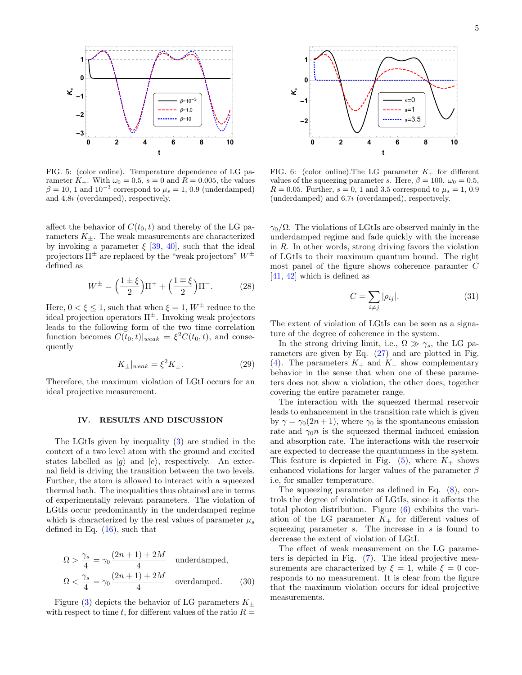

FIG. 5: (color online). Temperature dependence of LG parameter  $K_+$ . With  $\omega_0 = 0.5$ ,  $s = 0$  and  $R = 0.005$ , the values  $\beta = 10, 1$  and  $10^{-3}$  correspond to  $\mu_s = 1, 0.9$  (underdamped) and 4.8i (overdamped), respectively.

affect the behavior of  $C(t_0, t)$  and thereby of the LG parameters  $K_{\pm}$ . The weak measurements are characterized by invoking a parameter  $\xi$  [39, 40], such that the ideal projectors  $\Pi^{\pm}$  are replaced by the "weak projectors"  $W^{\pm}$ defined as

$$
W^{\pm} = \left(\frac{1 \pm \xi}{2}\right) \Pi^{+} + \left(\frac{1 \mp \xi}{2}\right) \Pi^{-}.
$$
 (28)

Here,  $0 < \xi \leq 1$ , such that when  $\xi = 1$ ,  $W^{\pm}$  reduce to the ideal projection operators  $\Pi^{\pm}$ . Invoking weak projectors leads to the following form of the two time correlation function becomes  $C(t_0,t)|_{weak} = \xi^2 C(t_0,t)$ , and consequently

$$
K_{\pm}|_{weak} = \xi^2 K_{\pm}.
$$
\n(29)

Therefore, the maximum violation of LGtI occurs for an ideal projective measurement.

## IV. RESULTS AND DISCUSSION

The LGtIs given by inequality (3) are studied in the context of a two level atom with the ground and excited states labelled as  $|q\rangle$  and  $|e\rangle$ , respectively. An external field is driving the transition between the two levels. Further, the atom is allowed to interact with a squeezed thermal bath. The inequalities thus obtained are in terms of experimentally relevant parameters. The violation of LGtIs occur predominantly in the underdamped regime which is characterized by the real values of parameter  $\mu_s$ defined in Eq. (16), such that

$$
\Omega > \frac{\gamma_s}{4} = \gamma_0 \frac{(2n+1) + 2M}{4} \quad \text{underdamped,}
$$
\n
$$
\Omega < \frac{\gamma_s}{4} = \gamma_0 \frac{(2n+1) + 2M}{4} \quad \text{overdamped.} \tag{30}
$$

Figure (3) depicts the behavior of LG parameters  $K_{\pm}$ with respect to time t, for different values of the ratio  $R =$ 



FIG. 6: (color online). The LG parameter  $K_{+}$  for different values of the squeezing parameter s. Here,  $\beta = 100$ .  $\omega_0 = 0.5$ ,  $R = 0.05$ . Further,  $s = 0, 1$  and 3.5 correspond to  $\mu_s = 1, 0.9$ (underdamped) and 6.7i (overdamped), respectively.

 $\gamma_0/\Omega$ . The violations of LGtIs are observed mainly in the underdamped regime and fade quickly with the increase in R. In other words, strong driving favors the violation of LGtIs to their maximum quantum bound. The right most panel of the figure shows coherence paramter C [41, 42] which is defined as

$$
C = \sum_{i \neq j} |\rho_{ij}|. \tag{31}
$$

The extent of violation of LGtIs can be seen as a signature of the degree of coherence in the system.

In the strong driving limit, i.e.,  $\Omega \gg \gamma_s$ , the LG parameters are given by Eq. (27) and are plotted in Fig. (4). The parameters  $K_+$  and  $K_-$  show complementary behavior in the sense that when one of these parameters does not show a violation, the other does, together covering the entire parameter range.

The interaction with the squeezed thermal reservoir leads to enhancement in the transition rate which is given by  $\gamma = \gamma_0(2n + 1)$ , where  $\gamma_0$  is the spontaneous emission rate and  $\gamma_0 n$  is the squeezed thermal induced emission and absorption rate. The interactions with the reservoir are expected to decrease the quantumness in the system. This feature is depicted in Fig.  $(5)$ , where  $K_{+}$  shows enhanced violations for larger values of the parameter  $\beta$ i.e, for smaller temperature.

The squeezing parameter as defined in Eq. (8), controls the degree of violation of LGtIs, since it affects the total photon distribution. Figure (6) exhibits the variation of the LG parameter  $K_{+}$  for different values of squeezing parameter  $s$ . The increase in  $s$  is found to decrease the extent of violation of LGtI.

The effect of weak measurement on the LG parameters is depicted in Fig. (7). The ideal projective measurements are characterized by  $\xi = 1$ , while  $\xi = 0$  corresponds to no measurement. It is clear from the figure that the maximum violation occurs for ideal projective measurements.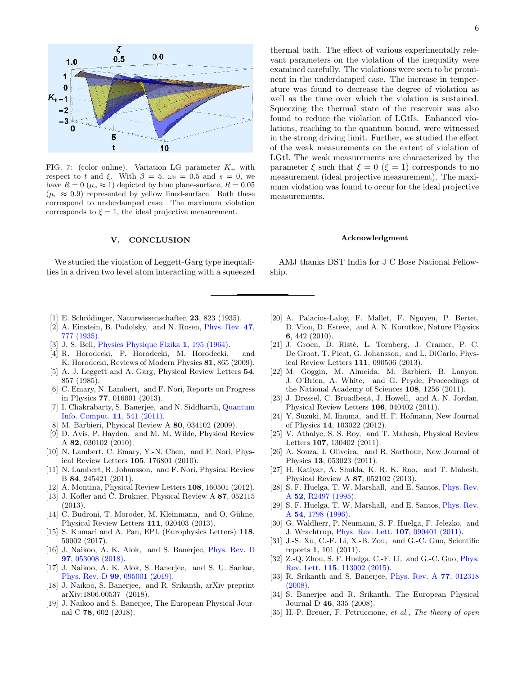

FIG. 7: (color online). Variation LG parameter  $K_{+}$  with respect to t and ξ. With  $\beta = 5$ ,  $\omega_0 = 0.5$  and  $s = 0$ , we have  $R = 0 \ (\mu_s \approx 1)$  depicted by blue plane-surface,  $R = 0.05$  $(\mu_s \approx 0.9)$  represented by yellow lined-surface. Both these correspond to underdamped case. The maximum violation corresponds to  $\xi = 1$ , the ideal projective measurement.

## V. CONCLUSION

We studied the violation of Leggett-Garg type inequalities in a driven two level atom interacting with a squeezed

thermal bath. The effect of various experimentally relevant parameters on the violation of the inequality were examined carefully. The violations were seen to be prominent in the underdamped case. The increase in temperature was found to decrease the degree of violation as well as the time over which the violation is sustained. Squeezing the thermal state of the reservoir was also found to reduce the violation of LGtIs. Enhanced violations, reaching to the quantum bound, were witnessed in the strong driving limit. Further, we studied the effect of the weak measurements on the extent of violation of LGtI. The weak measurements are characterized by the parameter  $\xi$  such that  $\xi = 0$  ( $\xi = 1$ ) corresponds to no measurement (ideal projective measurement). The maximum violation was found to occur for the ideal projective measurements.

### Acknowledgment

AMJ thanks DST India for J C Bose National Fellowship.

- [1] E. Schrödinger, Naturwissenschaften  $23$ , 823 (1935).
- [2] A. Einstein, B. Podolsky, and N. Rosen, Phys. Rev. 47, 777 (1935).
- [3] J. S. Bell, Physics Physique Fizika 1, 195 (1964).
- [4] R. Horodecki, P. Horodecki, M. Horodecki, and K. Horodecki, Reviews of Modern Physics 81, 865 (2009).
- [5] A. J. Leggett and A. Garg, Physical Review Letters 54, 857 (1985).
- [6] C. Emary, N. Lambert, and F. Nori, Reports on Progress in Physics 77, 016001 (2013).
- [7] I. Chakrabarty, S. Banerjee, and N. Siddharth, Quantum Info. Comput. 11, 541 (2011).
- [8] M. Barbieri, Physical Review A 80, 034102 (2009).
- [9] D. Avis, P. Hayden, and M. M. Wilde, Physical Review A 82, 030102 (2010).
- [10] N. Lambert, C. Emary, Y.-N. Chen, and F. Nori, Physical Review Letters 105, 176801 (2010).
- [11] N. Lambert, R. Johansson, and F. Nori, Physical Review B 84, 245421 (2011).
- [12] A. Montina, Physical Review Letters 108, 160501 (2012).
- [13] J. Kofler and C. Brukner, Physical Review A  $87$ , 052115 (2013).
- [14] C. Budroni, T. Moroder, M. Kleinmann, and O. Gühne, Physical Review Letters 111, 020403 (2013).
- [15] S. Kumari and A. Pan, EPL (Europhysics Letters) 118, 50002 (2017).
- [16] J. Naikoo, A. K. Alok, and S. Banerjee, Phys. Rev. D 97, 053008 (2018).
- [17] J. Naikoo, A. K. Alok, S. Banerjee, and S. U. Sankar, Phys. Rev. D 99, 095001 (2019).
- [18] J. Naikoo, S. Banerjee, and R. Srikanth, arXiv preprint arXiv:1806.00537 (2018).
- [19] J. Naikoo and S. Banerjee, The European Physical Journal C 78, 602 (2018).
- [20] A. Palacios-Laloy, F. Mallet, F. Nguyen, P. Bertet, D. Vion, D. Esteve, and A. N. Korotkov, Nature Physics 6, 442 (2010).
- [21] J. Groen, D. Ristè, L. Tornberg, J. Cramer, P. C. De Groot, T. Picot, G. Johansson, and L. DiCarlo, Physical Review Letters 111, 090506 (2013).
- [22] M. Goggin, M. Almeida, M. Barbieri, B. Lanyon, J. O'Brien, A. White, and G. Pryde, Proceedings of the National Academy of Sciences 108, 1256 (2011).
- [23] J. Dressel, C. Broadbent, J. Howell, and A. N. Jordan, Physical Review Letters 106, 040402 (2011).
- [24] Y. Suzuki, M. Iinuma, and H. F. Hofmann, New Journal of Physics 14, 103022 (2012).
- [25] V. Athalye, S. S. Roy, and T. Mahesh, Physical Review Letters 107, 130402 (2011).
- [26] A. Souza, I. Oliveira, and R. Sarthour, New Journal of Physics 13, 053023 (2011).
- [27] H. Katiyar, A. Shukla, K. R. K. Rao, and T. Mahesh, Physical Review A 87, 052102 (2013).
- [28] S. F. Huelga, T. W. Marshall, and E. Santos, Phys. Rev. A 52, R2497 (1995).
- [29] S. F. Huelga, T. W. Marshall, and E. Santos, Phys. Rev. A 54, 1798 (1996).
- [30] G. Waldherr, P. Neumann, S. F. Huelga, F. Jelezko, and J. Wrachtrup, Phys. Rev. Lett. 107, 090401 (2011).
- [31] J.-S. Xu, C.-F. Li, X.-B. Zou, and G.-C. Guo, Scientific reports 1, 101 (2011).
- [32] Z.-Q. Zhou, S. F. Huelga, C.-F. Li, and G.-C. Guo, Phys. Rev. Lett. 115, 113002 (2015).
- [33] R. Srikanth and S. Banerjee, Phys. Rev. A 77, 012318 (2008).
- [34] S. Banerjee and R. Srikanth, The European Physical Journal D 46, 335 (2008).
- [35] H.-P. Breuer, F. Petruccione, *et al.*, *The theory of open*